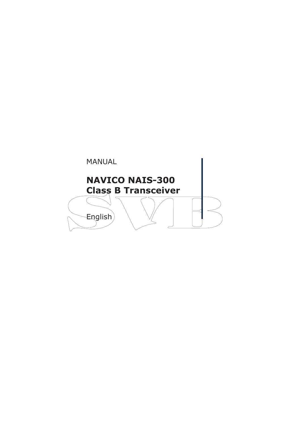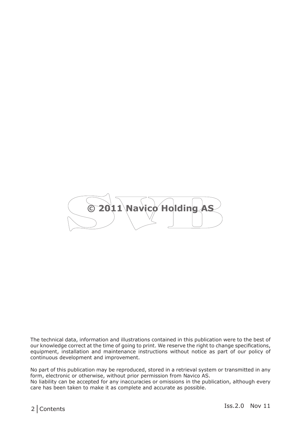

The technical data, information and illustrations contained in this publication were to the best of our knowledge correct at the time of going to print. We reserve the right to change specifications, equipment, installation and maintenance instructions without notice as part of our policy of continuous development and improvement.

No part of this publication may be reproduced, stored in a retrieval system or transmitted in any form, electronic or otherwise, without prior permission from Navico AS. No liability can be accepted for any inaccuracies or omissions in the publication, although every care has been taken to make it as complete and accurate as possible.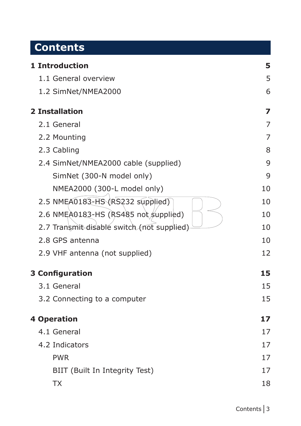# **Contents**

| 1 Introduction                             | 5  |
|--------------------------------------------|----|
| 1.1 General overview                       | 5  |
| 1.2 SimNet/NMEA2000                        | 6  |
| <b>2 Installation</b>                      | 7  |
| 2.1 General                                | 7  |
| 2.2 Mounting                               | 7  |
| 2.3 Cabling                                | 8  |
| 2.4 SimNet/NMEA2000 cable (supplied)       | 9  |
| SimNet (300-N model only)                  | 9  |
| NMEA2000 (300-L model only)                | 10 |
| 2.5 NMEA0183-HS (RS232 supplied)           | 10 |
| 2.6 NMEA0183-HS (RS485 not supplied)       | 10 |
| 2.7 Transmit-disable switch (not supplied) | 10 |
| 2.8 GPS antenna                            | 10 |
| 2.9 VHF antenna (not supplied)             | 12 |
| <b>3 Configuration</b>                     | 15 |
| 3.1 General                                | 15 |
| 3.2 Connecting to a computer               | 15 |
| <b>4 Operation</b>                         | 17 |
| 4.1 General                                | 17 |
| 4.2 Indicators                             | 17 |
| <b>PWR</b>                                 | 17 |
| BIIT (Built In Integrity Test)             | 17 |
| <b>TX</b>                                  | 18 |
|                                            |    |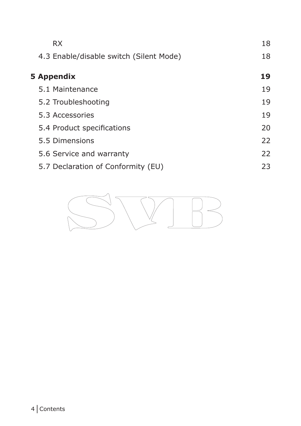| <b>RX</b>  |                                         | 18 |
|------------|-----------------------------------------|----|
|            | 4.3 Enable/disable switch (Silent Mode) | 18 |
| 5 Appendix |                                         | 19 |
|            | 5.1 Maintenance                         | 19 |
|            | 5.2 Troubleshooting                     | 19 |
|            | 5.3 Accessories                         | 19 |
|            | 5.4 Product specifications              | 20 |
|            | 5.5 Dimensions                          | 22 |
|            | 5.6 Service and warranty                | 22 |
|            | 5.7 Declaration of Conformity (EU)      | 23 |

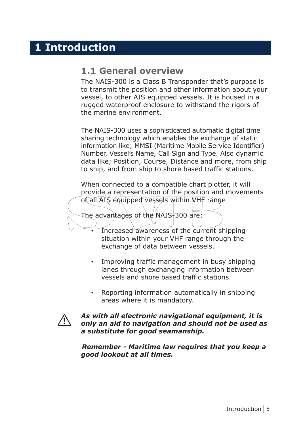## **1 Introduction**

### **1.1 General overview**

The NAIS-300 is a Class B Transponder that's purpose is to transmit the position and other information about your vessel, to other AIS equipped vessels. It is housed in a rugged waterproof enclosure to withstand the rigors of the marine environment.

The NAIS-300 uses a sophisticated automatic digital time sharing technology which enables the exchange of static information like; MMSI (Maritime Mobile Service Identifier) Number, Vessel's Name, Call Sign and Type. Also dynamic data like; Position, Course, Distance and more, from ship to ship, and from ship to shore based traffic stations.

When connected to a compatible chart plotter, it will provide a representation of the position and movements of all AIS equipped vessels within VHF range

The advantages of the NAIS-300 are:

- Increased awareness of the current shipping situation within your VHF range through the exchange of data between vessels.
- Improving traffic management in busy shipping lanes through exchanging information between vessels and shore based traffic stations.
- Reporting information automatically in shipping areas where it is mandatory.



*As with all electronic navigational equipment, it is only an aid to navigation and should not be used as a substitute for good seamanship.*

*Remember - Maritime law requires that you keep a good lookout at all times.*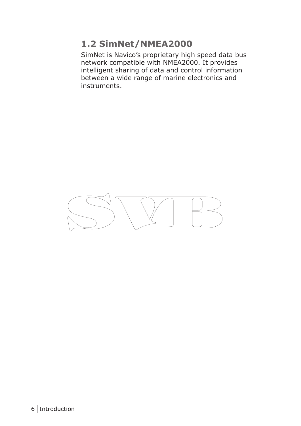## **1.2 SimNet/NMEA2000**

SimNet is Navico's proprietary high speed data bus network compatible with NMEA2000. It provides intelligent sharing of data and control information between a wide range of marine electronics and instruments.

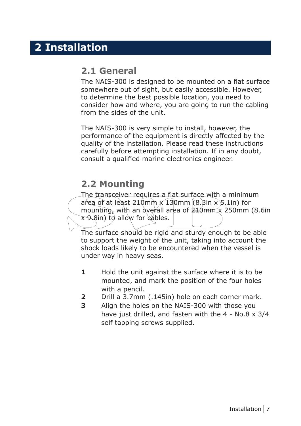## **2 Installation**

## **2.1 General**

The NAIS-300 is designed to be mounted on a flat surface somewhere out of sight, but easily accessible. However, to determine the best possible location, you need to consider how and where, you are going to run the cabling from the sides of the unit.

The NAIS-300 is very simple to install, however, the performance of the equipment is directly affected by the quality of the installation. Please read these instructions carefully before attempting installation. If in any doubt, consult a qualified marine electronics engineer.

## **2.2 Mounting**

The transceiver requires a flat surface with a minimum area of at least 210mm  $\times$  130mm (8.3in  $\times$  5.1in) for mounting, with an overall area of  $210$ mm x 250mm (8.6in  $x$  9.8in) to allow for cables.

The surface should be rigid and sturdy enough to be able to support the weight of the unit, taking into account the shock loads likely to be encountered when the vessel is under way in heavy seas.

- **1** Hold the unit against the surface where it is to be mounted, and mark the position of the four holes with a pencil.
- **2** Drill a 3.7mm (.145in) hole on each corner mark.
- **3** Align the holes on the NAIS-300 with those you have just drilled, and fasten with the 4 - No.8 x 3/4 self tapping screws supplied.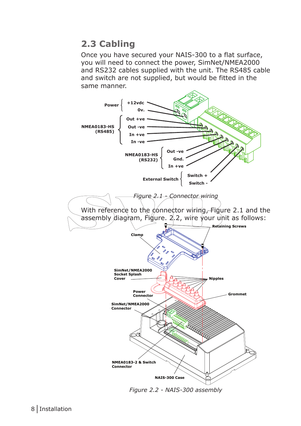## **2.3 Cabling**

Once you have secured your NAIS-300 to a flat surface, you will need to connect the power, SimNet/NMEA2000 and RS232 cables supplied with the unit. The RS485 cable and switch are not supplied, but would be fitted in the same manner.



*Figure 2.2 - NAIS-300 assembly*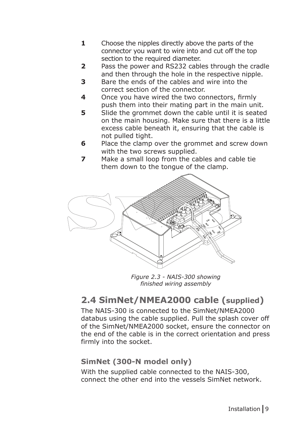- **1** Choose the nipples directly above the parts of the connector you want to wire into and cut off the top section to the required diameter.
- **2** Pass the power and RS232 cables through the cradle and then through the hole in the respective nipple.
- **3** Bare the ends of the cables and wire into the correct section of the connector.
- **4** Once you have wired the two connectors, firmly push them into their mating part in the main unit.
- **5** Slide the grommet down the cable until it is seated on the main housing. Make sure that there is a little excess cable beneath it, ensuring that the cable is not pulled tight.
- **6** Place the clamp over the grommet and screw down with the two screws supplied.
- **7** Make a small loop from the cables and cable tie them down to the tongue of the clamp.



*Figure 2.3 - NAIS-300 showing finished wiring assembly*

## **2.4 SimNet/NMEA2000 cable (supplied)**

The NAIS-300 is connected to the SimNet/NMEA2000 databus using the cable supplied. Pull the splash cover off of the SimNet/NMEA2000 socket, ensure the connector on the end of the cable is in the correct orientation and press firmly into the socket.

### **SimNet (300-N model only)**

With the supplied cable connected to the NAIS-300, connect the other end into the vessels SimNet network.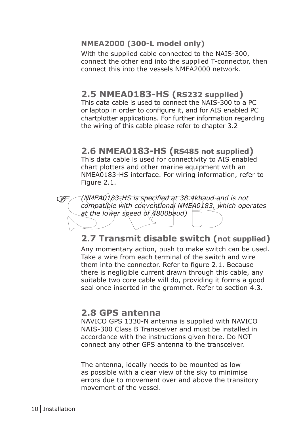### **NMEA2000 (300-L model only)**

With the supplied cable connected to the NAIS-300, connect the other end into the supplied T-connector, then connect this into the vessels NMEA2000 network.

### **2.5 NMEA0183-HS (RS232 supplied)**

This data cable is used to connect the NAIS-300 to a PC or laptop in order to configure it, and for AIS enabled PC chartplotter applications. For further information regarding the wiring of this cable please refer to chapter 3.2

**2.6 NMEA0183-HS (RS485 not supplied)** This data cable is used for connectivity to AIS enabled chart plotters and other marine equipment with an NMEA0183-HS interface. For wiring information, refer to Figure 2.1.

*(NMEA0183-HS is specified at 38.4kbaud and is not compatible with conventional NMEA0183, which operates at the lower speed of 4800baud)* ි

## **2.7 Transmit disable switch (not supplied)**

Any momentary action, push to make switch can be used. Take a wire from each terminal of the switch and wire them into the connector. Refer to figure 2.1. Because there is negligible current drawn through this cable, any suitable two core cable will do, providing it forms a good seal once inserted in the grommet. Refer to section 4.3.

### **2.8 GPS antenna**

NAVICO GPS 1330-N antenna is supplied with NAVICO NAIS-300 Class B Transceiver and must be installed in accordance with the instructions given here. Do NOT connect any other GPS antenna to the transceiver.

The antenna, ideally needs to be mounted as low as possible with a clear view of the sky to minimise errors due to movement over and above the transitory movement of the vessel.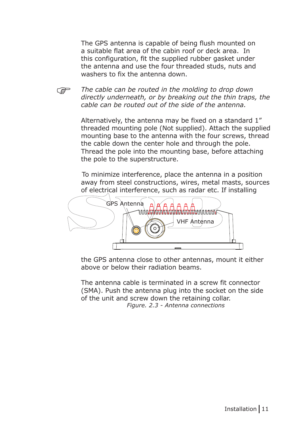The GPS antenna is capable of being flush mounted on a suitable flat area of the cabin roof or deck area. In this configuration, fit the supplied rubber gasket under the antenna and use the four threaded studs, nuts and washers to fix the antenna down.



*The cable can be routed in the molding to drop down directly underneath, or by breaking out the thin traps, the cable can be routed out of the side of the antenna.* Rx

Alternatively, the antenna may be fixed on a standard  $1''$ threaded mounting pole (Not supplied). Attach the supplied mounting base to the antenna with the four screws, thread the cable down the center hole and through the pole. Thread the pole into the mounting base, before attaching the pole to the superstructure. t<br>3

To minimize interference, place the antenna in a position away from steel constructions, wires, metal masts, sources of electrical interference, such as radar etc. If installing



the GPS antenna close to other antennas, mount it either above or below their radiation beams.

The antenna cable is terminated in a screw fit connector (SMA). Push the antenna plug into the socket on the side of the unit and screw down the retaining collar. *Figure. 2.3 - Antenna connections*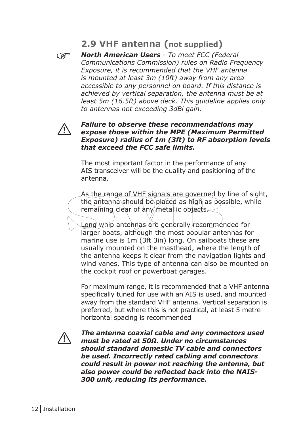## **2.9 VHF antenna (not supplied)**

**P** 

*North American Users - To meet FCC (Federal Communications Commission) rules on Radio Frequency Exposure, it is recommended that the VHF antenna is mounted at least 3m (10ft) away from any area accessible to any personnel on board. If this distance is achieved by vertical separation, the antenna must be at least 5m (16.5ft) above deck. This guideline applies only to antennas not exceeding 3dBi gain.*



#### *Failure to observe these recommendations may expose those within the MPE (Maximum Permitted Exposure) radius of 1m (3ft) to RF absorption levels that exceed the FCC safe limits.*

The most important factor in the performance of any AIS transceiver will be the quality and positioning of the antenna.

As the range of VHF signals are governed by line of sight, the antenna should be placed as high as possible, while remaining clear of any metallic objects.

Long whip antennas are generally recommended for larger boats, although the most popular antennas for marine use is 1m (3ft 3in) long. On sailboats these are usually mounted on the masthead, where the length of the antenna keeps it clear from the navigation lights and wind vanes. This type of antenna can also be mounted on the cockpit roof or powerboat garages.

For maximum range, it is recommended that a VHF antenna specifically tuned for use with an AIS is used, and mounted away from the standard VHF antenna. Vertical separation is preferred, but where this is not practical, at least 5 metre horizontal spacing is recommended



*The antenna coaxial cable and any connectors used must be rated at 50Ω. Under no circumstances should standard domestic TV cable and connectors be used. Incorrectly rated cabling and connectors could result in power not reaching the antenna, but also power could be reflected back into the NAIS-300 unit, reducing its performance.*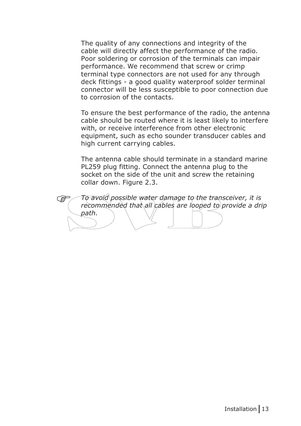The quality of any connections and integrity of the cable will directly affect the performance of the radio. Poor soldering or corrosion of the terminals can impair performance. We recommend that screw or crimp terminal type connectors are not used for any through deck fittings - a good quality waterproof solder terminal connector will be less susceptible to poor connection due to corrosion of the contacts.

To ensure the best performance of the radio, the antenna cable should be routed where it is least likely to interfere with, or receive interference from other electronic equipment, such as echo sounder transducer cables and high current carrying cables.

The antenna cable should terminate in a standard marine PL259 plug fitting. Connect the antenna plug to the socket on the side of the unit and screw the retaining collar down. Figure 2.3.

*To avoid possible water damage to the transceiver, it is recommended that all cables are looped to provide a drip path.* ි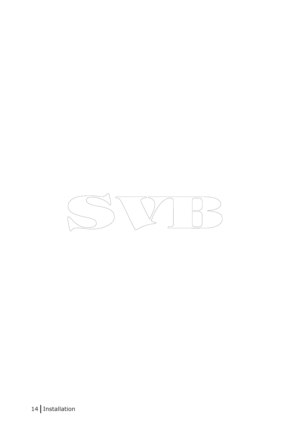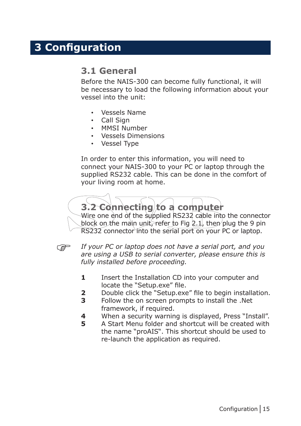## **3 Configuration**

## **3.1 General**

Before the NAIS-300 can become fully functional, it will be necessary to load the following information about your vessel into the unit:

- Vessels Name
- Call Sign
- MMSI Number
- Vessels Dimensions
- Vessel Type

In order to enter this information, you will need to connect your NAIS-300 to your PC or laptop through the supplied RS232 cable. This can be done in the comfort of your living room at home.





*If your PC or laptop does not have a serial port, and you are using a USB to serial converter, please ensure this is fully installed before proceeding.*

- **1** Insert the Installation CD into your computer and locate the "Setup.exe" file.
- **2** Double click the "Setup.exe" file to begin installation.
- **3** Follow the on screen prompts to install the .Net framework, if required.
- **4** When a security warning is displayed, Press "Install".
- **5** A Start Menu folder and shortcut will be created with the name "proAIS". This shortcut should be used to re-launch the application as required.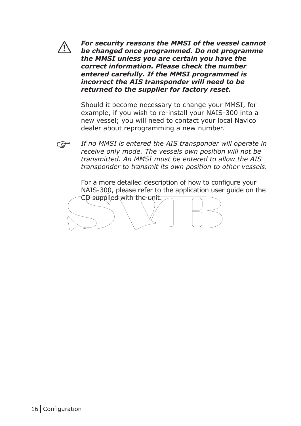

*For security reasons the MMSI of the vessel cannot be changed once programmed. Do not programme the MMSI unless you are certain you have the correct information. Please check the number entered carefully. If the MMSI programmed is incorrect the AIS transponder will need to be returned to the supplier for factory reset.*

Should it become necessary to change your MMSI, for example, if you wish to re-install your NAIS-300 into a new vessel; you will need to contact your local Navico dealer about reprogramming a new number.

*If no MMSI is entered the AIS transponder will operate in receive only mode. The vessels own position will not be transmitted. An MMSI must be entered to allow the AIS transponder to transmit its own position to other vessels.*  $\mathbb{Q}$ 

> For a more detailed description of how to configure your NAIS-300, please refer to the application user guide on the

CD supplied with the unit.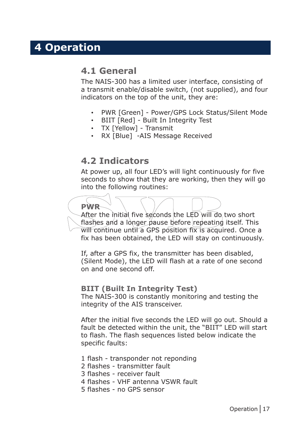## **4 Operation**

## **4.1 General**

The NAIS-300 has a limited user interface, consisting of a transmit enable/disable switch, (not supplied), and four indicators on the top of the unit, they are:

- PWR [Green] Power/GPS Lock Status/Silent Mode
- BIIT [Red] Built In Integrity Test
- TX [Yellow] Transmit
- RX [Blue] -AIS Message Received

## **4.2 Indicators**

At power up, all four LED's will light continuously for five seconds to show that they are working, then they will go into the following routines:



If, after a GPS fix, the transmitter has been disabled, (Silent Mode), the LED will flash at a rate of one second on and one second off.

#### **BIIT (Built In Integrity Test)**

The NAIS-300 is constantly monitoring and testing the integrity of the AIS transceiver.

After the initial five seconds the LED will go out. Should a fault be detected within the unit, the "BIIT" LED will start to flash. The flash sequences listed below indicate the specific faults:

1 flash - transponder not reponding

- 2 flashes transmitter fault
- 3 flashes receiver fault
- 4 flashes VHF antenna VSWR fault
- 5 flashes no GPS sensor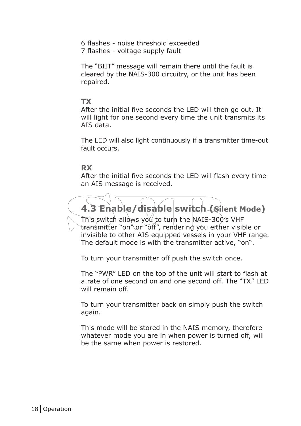6 flashes - noise threshold exceeded 7 flashes - voltage supply fault

The "BIIT" message will remain there until the fault is cleared by the NAIS-300 circuitry, or the unit has been repaired.

#### **TX**

After the initial five seconds the LED will then go out. It will light for one second every time the unit transmits its AIS data.

The LED will also light continuously if a transmitter time-out fault occurs.

#### **RX**

After the initial five seconds the LED will flash every time an AIS message is received.



To turn your transmitter off push the switch once.

The "PWR" LED on the top of the unit will start to flash at a rate of one second on and one second off. The "TX" LED will remain off

To turn your transmitter back on simply push the switch again.

This mode will be stored in the NAIS memory, therefore whatever mode you are in when power is turned off, will be the same when power is restored.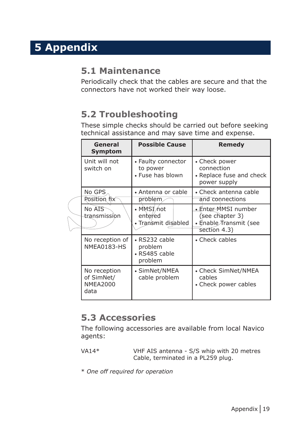# **5 Appendix**

### **5.1 Maintenance**

Periodically check that the cables are secure and that the connectors have not worked their way loose.

## **5.2 Troubleshooting**

These simple checks should be carried out before seeking technical assistance and may save time and expense.

| General<br>Symptom                                         | <b>Possible Cause</b>                                                       | Remedy                                                                         |
|------------------------------------------------------------|-----------------------------------------------------------------------------|--------------------------------------------------------------------------------|
| Unit will not<br>switch on                                 | • Faulty connector<br>to power<br>• Fuse has blown                          | • Check power<br>connection<br>• Replace fuse and check<br>power supply        |
| No GPS<br>$\overline{\text{Position}}$ fix $\overline{\ }$ | • Antenna or cable<br>problem                                               | • Check antenna cable<br>and connections                                       |
| No AIS<br>transmission                                     | • MMSI not<br>entered<br>Transmit disabled                                  | Enter-MMSI number<br>(see chapter 3)<br>• Enable Transmit (see<br>section 4.3) |
| No reception of<br>NMEA0183-HS                             | $\overline{\phantom{a}}$ RS232 cable<br>problem<br>• RS485 cable<br>problem | • Check cables                                                                 |
| No reception<br>of SimNet/<br><b>NMEA2000</b><br>data      | • SimNet/NMEA<br>cable problem                                              | • Check SimNet/NMEA<br>cables<br>• Check power cables                          |

## **5.3 Accessories**

The following accessories are available from local Navico agents:

VA14\* VHF AIS antenna - S/S whip with 20 metres Cable, terminated in a PL259 plug.

\* *One off required for operation*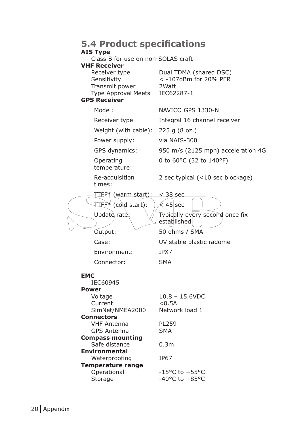## **5.4 Product specifications**

#### **AIS Type**

Class B for use on non-SOLAS craft

**VHF Receiver**

| Receiver type<br>Sensitivity<br>Transmit power<br>Type Approval Meets<br><b>GPS Receiver</b> | Dual TDMA (shared DSC)<br>< -107dBm for 20% PER<br>2Watt<br>IEC62287-1 |
|----------------------------------------------------------------------------------------------|------------------------------------------------------------------------|
| Model:                                                                                       | NAVICO GPS 1330-N                                                      |
| Receiver type                                                                                | Integral 16 channel receiver                                           |
| Weight (with cable):                                                                         | $225$ g $(8$ oz.)                                                      |
| Power supply:                                                                                | via NAIS-300                                                           |
| GPS dynamics:                                                                                | 950 m/s (2125 mph) acceleration 4G                                     |
| Operating<br>temperature:                                                                    | 0 to 60°C (32 to 140°F)                                                |
| Re-acquisition<br>times:                                                                     | 2 sec typical (<10 sec blockage)                                       |
| ITEF* (warm start):__                                                                        | $<$ 38 sec                                                             |
| ∓IEF <sup>*</sup> (cold start):                                                              | $\leqslant$ 45 sec                                                     |
| Update rate:                                                                                 | Typically every second once fix<br>established                         |
| Output:                                                                                      | 50 ohms / SMA                                                          |
| Case:                                                                                        | UV stable plastic radome                                               |
| Environment:                                                                                 | IPX7                                                                   |
| Connector:                                                                                   | <b>SMA</b>                                                             |
| <b>EMC</b>                                                                                   |                                                                        |
| IEC60945                                                                                     |                                                                        |
| Power<br>Voltage<br>Current<br>SimNet/NMEA2000                                               | $10.8 - 15.6$ VDC<br>< 0.5A<br>Network load 1                          |
| Connectors                                                                                   |                                                                        |
| <b>VHF Antenna</b><br>GPS Antenna                                                            | <b>PL259</b><br><b>SMA</b>                                             |
| <b>Compass mounting</b>                                                                      |                                                                        |
| Safe distance                                                                                | 0.3m                                                                   |
| <b>Environmental</b><br>Waterproofing                                                        | IP67                                                                   |
| <b>Temperature range</b>                                                                     |                                                                        |
| Operational<br>Storage                                                                       | $-15^{\circ}$ C to $+55^{\circ}$ C<br>-40°C to +85°C                   |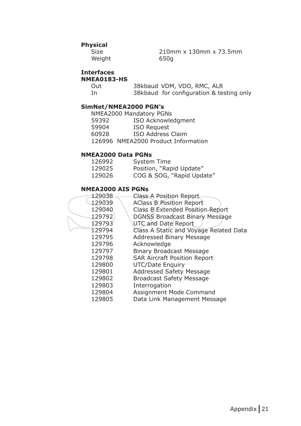# **Physical**

 $Weight$ 

210mm x 130mm x 73.5mm<br>650g

#### **Interfaces**

#### **NMEA0183-HS**

| Out | 38kbaud VDM, VDO, RMC, ALR               |  |
|-----|------------------------------------------|--|
| In  | 38kbaud for configuration & testing only |  |

#### **SimNet/NMEA2000 PGN's**

|       | NMEA2000 Mandatory PGNs             |
|-------|-------------------------------------|
| 59392 | ISO Acknowledgment                  |
| 59904 | <b>ISO Request</b>                  |
| 60928 | ISO Address Claim                   |
|       | 126996 NMEA2000 Product Information |

#### **NMEA2000 Data PGNs**

| 126992 | System Time               |
|--------|---------------------------|
| 129025 | Position, "Rapid Update"  |
| 129026 | COG & SOG, "Rapid Update" |

#### **NMEA2000 AIS PGNs**

| 129038 | Class A Position Report                |
|--------|----------------------------------------|
| 129039 | <b>AClass B Position Report</b>        |
| 129040 | Class B Extended Position-Report       |
| 129792 | DGNSS Broadcast Binary Message         |
| 129793 | UTC and Date Report                    |
| 129794 | Class A Static and Voyage Related Data |
| 129795 | Addressed Binary Message               |
| 129796 | Acknowledge                            |
| 129797 | <b>Binary Broadcast Message</b>        |
| 129798 | <b>SAR Aircraft Position Report</b>    |
| 129800 | UTC/Date Enguiry                       |
| 129801 | Addressed Safety Message               |
| 129802 | <b>Broadcast Safety Message</b>        |
| 129803 | Interrogation                          |
| 129804 | Assignment Mode Command                |
| 129805 | Data Link Management Message           |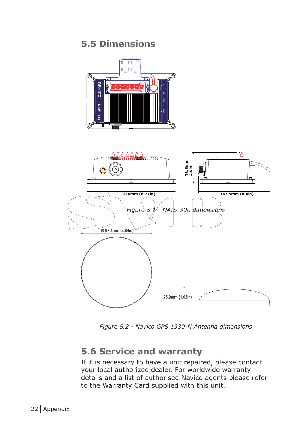## **5.5 Dimensions**





*Figure 5.2 - Navico GPS 1330-N Antenna dimensions*

## **5.6 Service and warranty**

If it is necessary to have a unit repaired, please contact your local authorized dealer. For worldwide warranty details and a list of authorised Navico agents please refer to the Warranty Card supplied with this unit.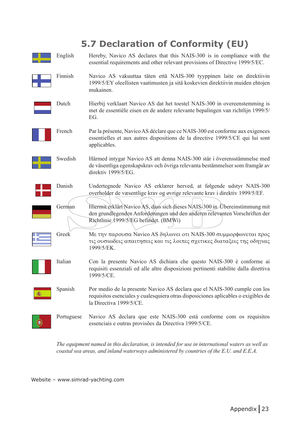## English Hereby, Navico AS declares that this NAIS-300 is in compliance with the **5.7 Declaration of Conformity (EU)**

Finnish Navico AS vakuuttaa täten että NAIS-300 tyyppinen laite on direktiivin

essential requirements and other relevant provisions of Directive 1999/5/EC.

|            | 1999/5/EY oleellisten vaatimusten ja sitä koskevien direktiivin muiden ehtojen<br>mukainen.                                                                                                         |
|------------|-----------------------------------------------------------------------------------------------------------------------------------------------------------------------------------------------------|
| Dutch      | Hierbij verklaart Navico AS dat het toestel NAIS-300 in overeenstemming is<br>met de essentiële eisen en de andere relevante bepalingen van richtlijn 1999/5/<br>EG.                                |
| French     | Par la présente, Navico AS déclare que ce NAIS-300 est conforme aux exigences<br>essentielles et aux autres dispositions de la directive 1999/5/CE qui lui sont<br>applicables.                     |
| Swedish    | Härmed intygar Navico AS att denna NAIS-300 står i överensstämmelse med<br>de väsentliga egenskapskrav och övriga relevanta bestämmelser som framgår av<br>direktiv 1999/5/EG.                      |
| Danish     | Undertegnede Navico AS erklærer herved, at følgende udstyr NAIS-300<br>overholder de væsentlige krav og øvrige relevante krav i direktiv 1999/5/EF.                                                 |
| German     | Hiermit erklärt Navico AS, dass sich dieses NAIS-300 in Übereinstimmung mit<br>den grundlegenden Anforderungen und den anderen relevanten Vorschriften der<br>Richtlinie 1999/5/EG befindet. (BMWi) |
| Greek      | Με την παρουσα Navico AS δηλωνει οτι NAIS-300 συμμορφωνεται προς<br>τις ουσιωδεις απαιτησεις και τις λοιπες σχετικες διαταξεις της οδηγιας<br>1999/5/EK.                                            |
| Italian    | Con la presente Navico AS dichiara che questo NAIS-300 è conforme ai<br>requisiti essenziali ed alle altre disposizioni pertinenti stabilite dalla direttiva<br>1999/5/CE.                          |
| Spanish    | Por medio de la presente Navico AS declara que el NAIS-300 cumple con los<br>requisitos esenciales y cualesquiera otras disposiciones aplicables o exigibles de<br>la Directiva 1999/5/CE.          |
| Portuguese | Navico AS declara que este NAIS-300 está conforme com os requisitos<br>essenciais e outras provisões da Directiva 1999/5/CE.                                                                        |

*The equipment named in this declaration, is intended for use in international waters as well as coastal sea areas, and inland waterways administered by countries of the E.U. and E.E.A.*

Website – www.simrad-yachting.com

т